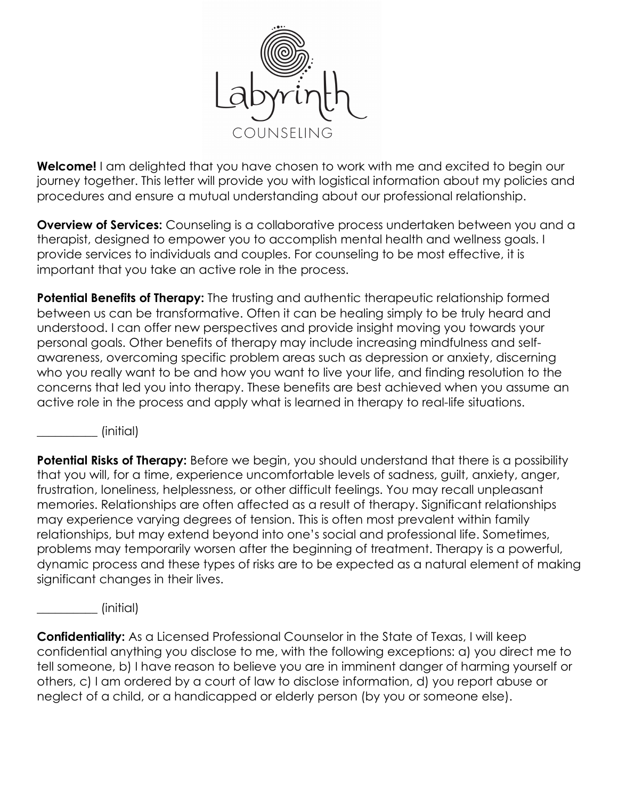

**Welcome!** I am delighted that you have chosen to work with me and excited to begin our journey together. This letter will provide you with logistical information about my policies and procedures and ensure a mutual understanding about our professional relationship.

**Overview of Services:** Counseling is a collaborative process undertaken between you and a therapist, designed to empower you to accomplish mental health and wellness goals. I provide services to individuals and couples. For counseling to be most effective, it is important that you take an active role in the process.

**Potential Benefits of Therapy:** The trusting and authentic therapeutic relationship formed between us can be transformative. Often it can be healing simply to be truly heard and understood. I can offer new perspectives and provide insight moving you towards your personal goals. Other benefits of therapy may include increasing mindfulness and selfawareness, overcoming specific problem areas such as depression or anxiety, discerning who you really want to be and how you want to live your life, and finding resolution to the concerns that led you into therapy. These benefits are best achieved when you assume an active role in the process and apply what is learned in therapy to real-life situations.

\_\_\_\_\_\_\_\_\_\_ (initial)

**Potential Risks of Therapy:** Before we begin, you should understand that there is a possibility that you will, for a time, experience uncomfortable levels of sadness, guilt, anxiety, anger, frustration, loneliness, helplessness, or other difficult feelings. You may recall unpleasant memories. Relationships are often affected as a result of therapy. Significant relationships may experience varying degrees of tension. This is often most prevalent within family relationships, but may extend beyond into one's social and professional life. Sometimes, problems may temporarily worsen after the beginning of treatment. Therapy is a powerful, dynamic process and these types of risks are to be expected as a natural element of making significant changes in their lives.

\_\_\_\_\_\_\_\_\_\_ (initial)

**Confidentiality:** As a Licensed Professional Counselor in the State of Texas, I will keep confidential anything you disclose to me, with the following exceptions: a) you direct me to tell someone, b) I have reason to believe you are in imminent danger of harming yourself or others, c) I am ordered by a court of law to disclose information, d) you report abuse or neglect of a child, or a handicapped or elderly person (by you or someone else).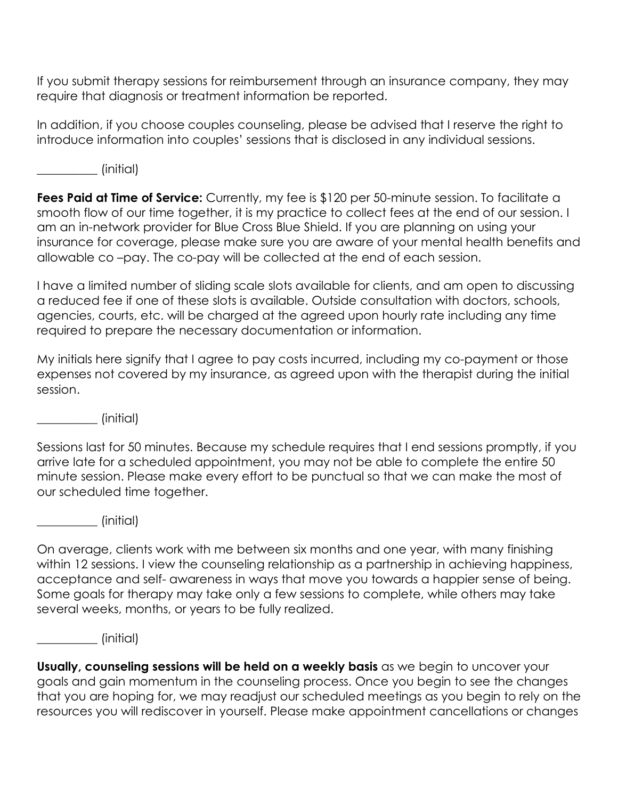If you submit therapy sessions for reimbursement through an insurance company, they may require that diagnosis or treatment information be reported.

In addition, if you choose couples counseling, please be advised that I reserve the right to introduce information into couples' sessions that is disclosed in any individual sessions.

\_\_\_\_\_\_\_\_\_\_ (initial)

**Fees Paid at Time of Service:** Currently, my fee is \$120 per 50-minute session. To facilitate a smooth flow of our time together, it is my practice to collect fees at the end of our session. I am an in-network provider for Blue Cross Blue Shield. If you are planning on using your insurance for coverage, please make sure you are aware of your mental health benefits and allowable co –pay. The co-pay will be collected at the end of each session.

I have a limited number of sliding scale slots available for clients, and am open to discussing a reduced fee if one of these slots is available. Outside consultation with doctors, schools, agencies, courts, etc. will be charged at the agreed upon hourly rate including any time required to prepare the necessary documentation or information.

My initials here signify that I agree to pay costs incurred, including my co-payment or those expenses not covered by my insurance, as agreed upon with the therapist during the initial session.

\_\_\_\_\_\_\_\_\_\_ (initial)

Sessions last for 50 minutes. Because my schedule requires that I end sessions promptly, if you arrive late for a scheduled appointment, you may not be able to complete the entire 50 minute session. Please make every effort to be punctual so that we can make the most of our scheduled time together.

 $\sim$  (initial)

On average, clients work with me between six months and one year, with many finishing within 12 sessions. I view the counseling relationship as a partnership in achieving happiness, acceptance and self- awareness in ways that move you towards a happier sense of being. Some goals for therapy may take only a few sessions to complete, while others may take several weeks, months, or years to be fully realized.

\_\_\_\_\_\_\_\_\_\_ (initial)

**Usually, counseling sessions will be held on a weekly basis** as we begin to uncover your goals and gain momentum in the counseling process. Once you begin to see the changes that you are hoping for, we may readjust our scheduled meetings as you begin to rely on the resources you will rediscover in yourself. Please make appointment cancellations or changes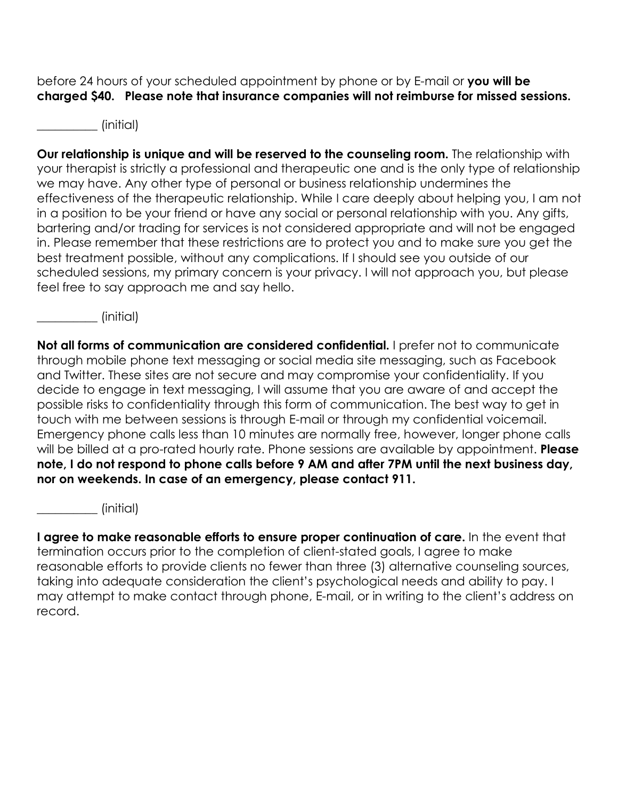before 24 hours of your scheduled appointment by phone or by E-mail or **you will be charged \$40. Please note that insurance companies will not reimburse for missed sessions.** 

 $\sim$  (initial)

**Our relationship is unique and will be reserved to the counseling room.** The relationship with your therapist is strictly a professional and therapeutic one and is the only type of relationship we may have. Any other type of personal or business relationship undermines the effectiveness of the therapeutic relationship. While I care deeply about helping you, I am not in a position to be your friend or have any social or personal relationship with you. Any gifts, bartering and/or trading for services is not considered appropriate and will not be engaged in. Please remember that these restrictions are to protect you and to make sure you get the best treatment possible, without any complications. If I should see you outside of our scheduled sessions, my primary concern is your privacy. I will not approach you, but please feel free to say approach me and say hello.

 $\qquad \qquad \text{(initial)}$ 

**Not all forms of communication are considered confidential.** I prefer not to communicate through mobile phone text messaging or social media site messaging, such as Facebook and Twitter. These sites are not secure and may compromise your confidentiality. If you decide to engage in text messaging, I will assume that you are aware of and accept the possible risks to confidentiality through this form of communication. The best way to get in touch with me between sessions is through E-mail or through my confidential voicemail. Emergency phone calls less than 10 minutes are normally free, however, longer phone calls will be billed at a pro-rated hourly rate. Phone sessions are available by appointment. **Please note, I do not respond to phone calls before 9 AM and after 7PM until the next business day, nor on weekends. In case of an emergency, please contact 911.** 

\_\_\_\_\_\_\_\_\_\_ (initial)

**I agree to make reasonable efforts to ensure proper continuation of care.** In the event that termination occurs prior to the completion of client-stated goals, I agree to make reasonable efforts to provide clients no fewer than three (3) alternative counseling sources, taking into adequate consideration the client's psychological needs and ability to pay. I may attempt to make contact through phone, E-mail, or in writing to the client's address on record.